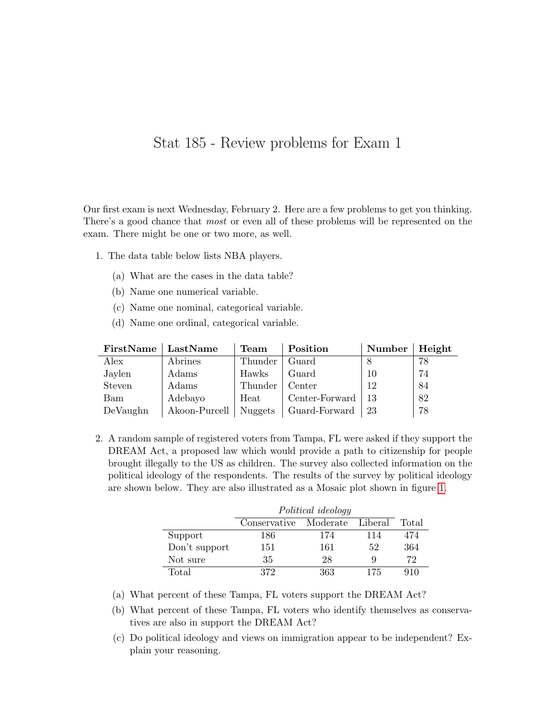## Stat 185 - Review problems for Exam 1

Our first exam is next Wednesday, February 2. Here are a few problems to get you thinking. There's a good chance that most or even all of these problems will be represented on the exam. There might be one or two more, as well.

- 1. The data table below lists NBA players.
	- (a) What are the cases in the data table?
	- (b) Name one numerical variable.
	- (c) Name one nominal, categorical variable.
	- (d) Name one ordinal, categorical variable.

| FirstName | LastName      | Team    | Position       | Number | Height |
|-----------|---------------|---------|----------------|--------|--------|
| Alex      | Abrines       | Thunder | Guard          |        | 78     |
| Jaylen    | Adams         | Hawks   | Guard          | 10     | 74     |
| Steven    | Adams         | Thunder | Center         | 12     | 84     |
| Bam       | Adebayo       | Heat    | Center-Forward | -13    | 82     |
| DeVaughn  | Akoon-Purcell | Nuggets | Guard-Forward  | 23     | 78     |

2. A random sample of registered voters from Tampa, FL were asked if they support the DREAM Act, a proposed law which would provide a path to citizenship for people brought illegally to the US as children. The survey also collected information on the political ideology of the respondents. The results of the survey by political ideology are shown below. They are also illustrated as a Mosaic plot shown in figure [1.](#page-2-0)

|               | Political ideology |          |         |       |
|---------------|--------------------|----------|---------|-------|
|               | Conservative       | Moderate | Liberal | Total |
| Support       | 186                | 174      | 114     | 474   |
| Don't support | 151                | 161      | 52      | 364   |
| Not sure      | 35                 | 28       | Q       | 72    |
| Total         | 372                | 363      | 175     | 910   |

- (a) What percent of these Tampa, FL voters support the DREAM Act?
- (b) What percent of these Tampa, FL voters who identify themselves as conservatives are also in support the DREAM Act?
- (c) Do political ideology and views on immigration appear to be independent? Explain your reasoning.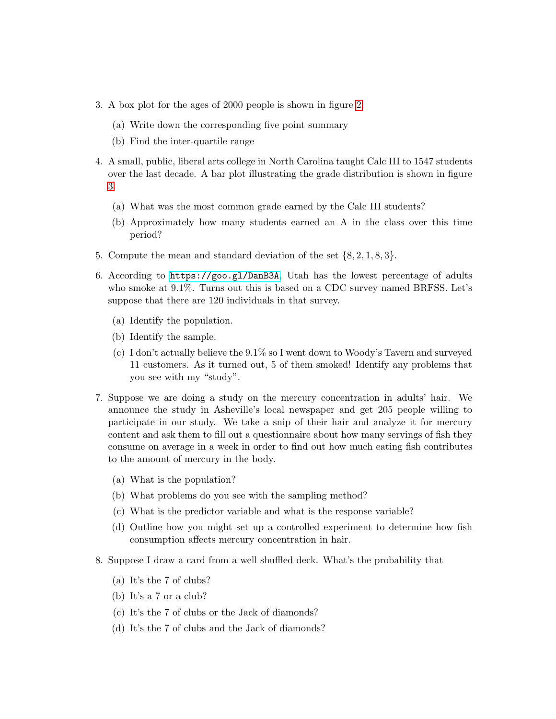- 3. A box plot for the ages of 2000 people is shown in figure [2.](#page-2-1)
	- (a) Write down the corresponding five point summary
	- (b) Find the inter-quartile range
- 4. A small, public, liberal arts college in North Carolina taught Calc III to 1547 students over the last decade. A bar plot illustrating the grade distribution is shown in figure [3.](#page-3-0)
	- (a) What was the most common grade earned by the Calc III students?
	- (b) Approximately how many students earned an A in the class over this time period?
- 5. Compute the mean and standard deviation of the set {8, 2, 1, 8, 3}.
- 6. According to <https://goo.gl/DanB3A>, Utah has the lowest percentage of adults who smoke at 9.1%. Turns out this is based on a CDC survey named BRFSS. Let's suppose that there are 120 individuals in that survey.
	- (a) Identify the population.
	- (b) Identify the sample.
	- (c) I don't actually believe the 9.1% so I went down to Woody's Tavern and surveyed 11 customers. As it turned out, 5 of them smoked! Identify any problems that you see with my "study".
- 7. Suppose we are doing a study on the mercury concentration in adults' hair. We announce the study in Asheville's local newspaper and get 205 people willing to participate in our study. We take a snip of their hair and analyze it for mercury content and ask them to fill out a questionnaire about how many servings of fish they consume on average in a week in order to find out how much eating fish contributes to the amount of mercury in the body.
	- (a) What is the population?
	- (b) What problems do you see with the sampling method?
	- (c) What is the predictor variable and what is the response variable?
	- (d) Outline how you might set up a controlled experiment to determine how fish consumption affects mercury concentration in hair.
- 8. Suppose I draw a card from a well shuffled deck. What's the probability that
	- (a) It's the 7 of clubs?
	- (b) It's a 7 or a club?
	- (c) It's the 7 of clubs or the Jack of diamonds?
	- (d) It's the 7 of clubs and the Jack of diamonds?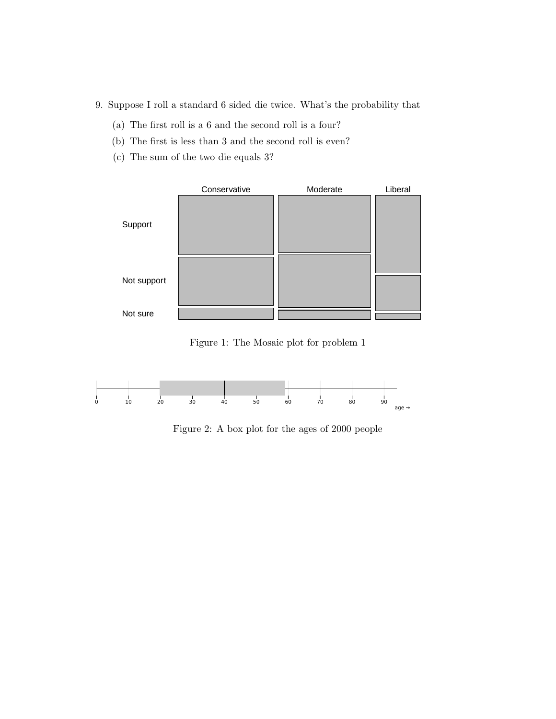- 9. Suppose I roll a standard 6 sided die twice. What's the probability that
	- (a) The first roll is a 6 and the second roll is a four?
	- (b) The first is less than 3 and the second roll is even?
	- (c) The sum of the two die equals 3?



<span id="page-2-0"></span>Figure 1: The Mosaic plot for problem 1



<span id="page-2-1"></span>Figure 2: A box plot for the ages of 2000 people